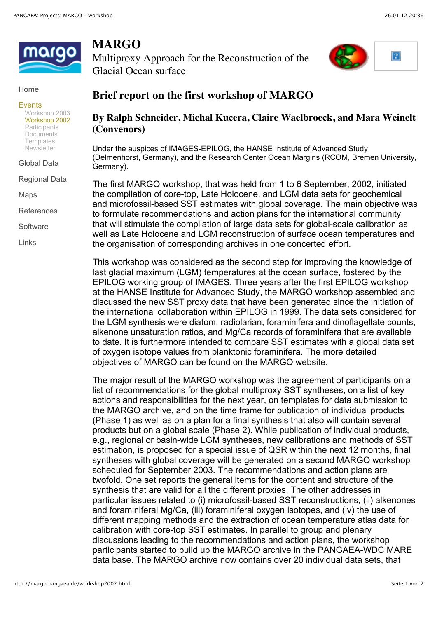

## Home

## Events

Workshop 2003 Workshop 2002 **Participants** Documents **Templates Newsletter** 

Global Data

Regional Data

Maps

References

**Software** 

Links

## **MARGO**

Multiproxy Approach for the Reconstruction of the Glacial Ocean surface



## **Brief report on the first workshop of MARGO**

**By Ralph Schneider, Michal Kucera, Claire Waelbroeck, and Mara Weinelt (Convenors)**

Under the auspices of IMAGES-EPILOG, the HANSE Institute of Advanced Study (Delmenhorst, Germany), and the Research Center Ocean Margins (RCOM, Bremen University, Germany).

The first MARGO workshop, that was held from 1 to 6 September, 2002, initiated the compilation of core-top, Late Holocene, and LGM data sets for geochemical and microfossil-based SST estimates with global coverage. The main objective was to formulate recommendations and action plans for the international community that will stimulate the compilation of large data sets for global-scale calibration as well as Late Holocene and LGM reconstruction of surface ocean temperatures and the organisation of corresponding archives in one concerted effort.

This workshop was considered as the second step for improving the knowledge of last glacial maximum (LGM) temperatures at the ocean surface, fostered by the EPILOG working group of IMAGES. Three years after the first EPILOG workshop at the HANSE Institute for Advanced Study, the MARGO workshop assembled and discussed the new SST proxy data that have been generated since the initiation of the international collaboration within EPILOG in 1999. The data sets considered for the LGM synthesis were diatom, radiolarian, foraminifera and dinoflagellate counts, alkenone unsaturation ratios, and Mg/Ca records of foraminifera that are available to date. It is furthermore intended to compare SST estimates with a global data set of oxygen isotope values from planktonic foraminifera. The more detailed objectives of MARGO can be found on the MARGO website.

The major result of the MARGO workshop was the agreement of participants on a list of recommendations for the global multiproxy SST syntheses, on a list of key actions and responsibilities for the next year, on templates for data submission to the MARGO archive, and on the time frame for publication of individual products (Phase 1) as well as on a plan for a final synthesis that also will contain several products but on a global scale (Phase 2). While publication of individual products, e.g., regional or basin-wide LGM syntheses, new calibrations and methods of SST estimation, is proposed for a special issue of QSR within the next 12 months, final syntheses with global coverage will be generated on a second MARGO workshop scheduled for September 2003. The recommendations and action plans are twofold. One set reports the general items for the content and structure of the synthesis that are valid for all the different proxies. The other addresses in particular issues related to (i) microfossil-based SST reconstructions, (ii) alkenones and foraminiferal Mg/Ca, (iii) foraminiferal oxygen isotopes, and (iv) the use of different mapping methods and the extraction of ocean temperature atlas data for calibration with core-top SST estimates. In parallel to group and plenary discussions leading to the recommendations and action plans, the workshop participants started to build up the MARGO archive in the PANGAEA-WDC MARE data base. The MARGO archive now contains over 20 individual data sets, that